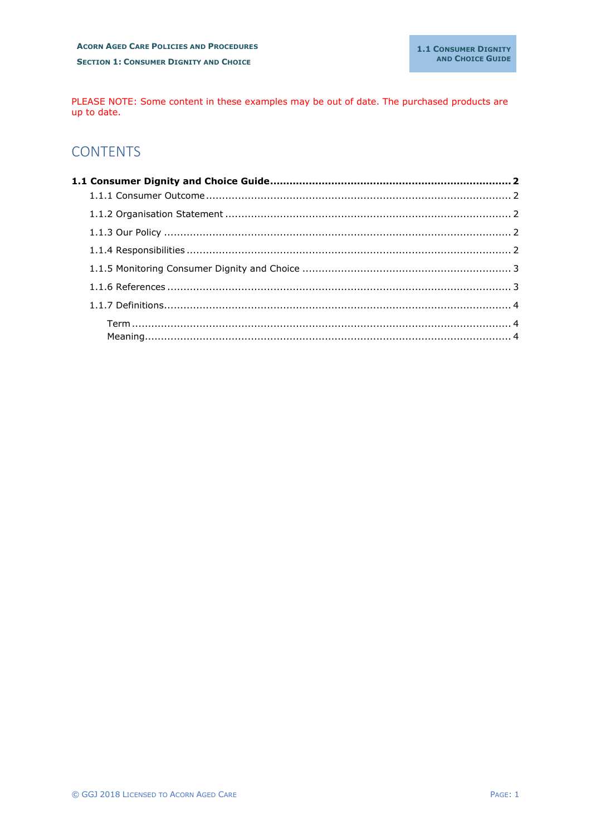PLEASE NOTE: Some content in these examples may be out of date. The purchased products are up to date.

# **CONTENTS**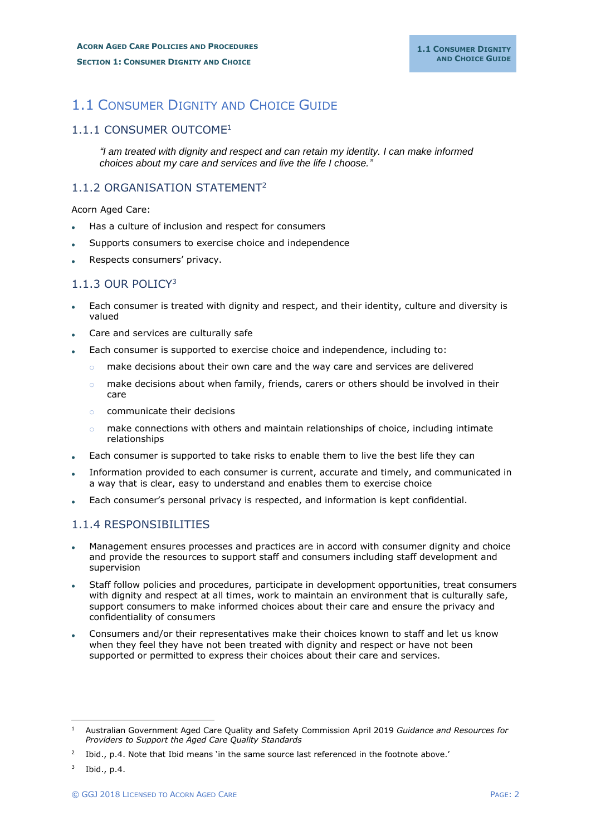# <span id="page-1-0"></span>1.1 CONSUMER DIGNITY AND CHOICE GUIDE

#### <span id="page-1-1"></span>1.1.1 CONSUMER OUTCOME<sup>1</sup>

*"I am treated with dignity and respect and can retain my identity. I can make informed choices about my care and services and live the life I choose."*

## <span id="page-1-2"></span>1.1.2 ORGANISATION STATEMENT<sup>2</sup>

Acorn Aged Care:

- Has a culture of inclusion and respect for consumers
- Supports consumers to exercise choice and independence
- Respects consumers' privacy.

### <span id="page-1-3"></span>1.1.3 OUR POLICY<sup>3</sup>

- Each consumer is treated with dignity and respect, and their identity, culture and diversity is valued
- Care and services are culturally safe
- Each consumer is supported to exercise choice and independence, including to:
	- $\circ$  make decisions about their own care and the way care and services are delivered
	- $\circ$  make decisions about when family, friends, carers or others should be involved in their care
	- o communicate their decisions
	- $\circ$  make connections with others and maintain relationships of choice, including intimate relationships
- Each consumer is supported to take risks to enable them to live the best life they can
- Information provided to each consumer is current, accurate and timely, and communicated in a way that is clear, easy to understand and enables them to exercise choice
- Each consumer's personal privacy is respected, and information is kept confidential.

#### <span id="page-1-4"></span>1.1.4 RESPONSIBILITIES

- Management ensures processes and practices are in accord with consumer dignity and choice and provide the resources to support staff and consumers including staff development and supervision
- Staff follow policies and procedures, participate in development opportunities, treat consumers with dignity and respect at all times, work to maintain an environment that is culturally safe, support consumers to make informed choices about their care and ensure the privacy and confidentiality of consumers
- Consumers and/or their representatives make their choices known to staff and let us know when they feel they have not been treated with dignity and respect or have not been supported or permitted to express their choices about their care and services.

<sup>1</sup> Australian Government Aged Care Quality and Safety Commission April 2019 *Guidance and Resources for Providers to Support the Aged Care Quality Standards*

<sup>2</sup> Ibid., p.4. Note that Ibid means 'in the same source last referenced in the footnote above.'

 $3$  Ibid., p.4.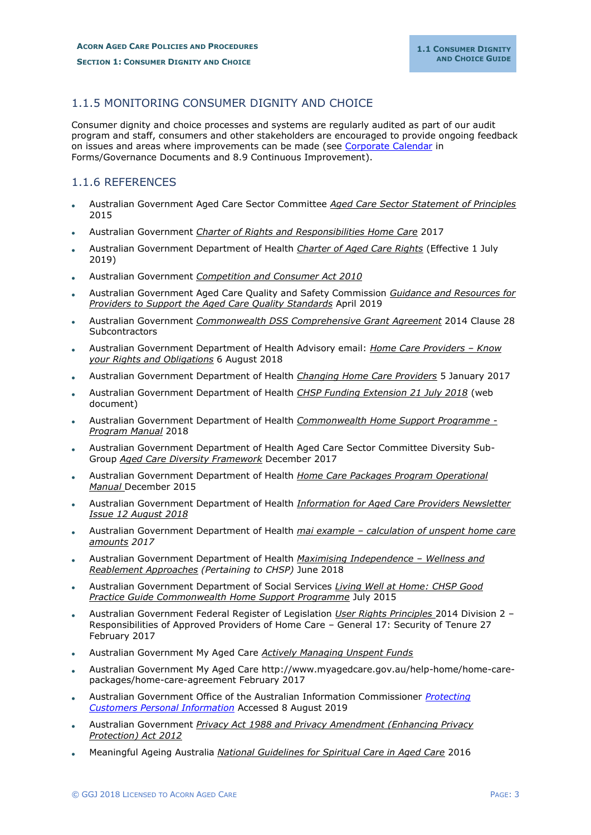### <span id="page-2-0"></span>1.1.5 MONITORING CONSUMER DIGNITY AND CHOICE

Consumer dignity and choice processes and systems are regularly audited as part of our audit program and staff, consumers and other stakeholders are encouraged to provide ongoing feedback on issues and areas where improvements can be made (see Corporate Calendar in Forms/Governance Documents and 8.9 Continuous Improvement).

#### <span id="page-2-1"></span>1.1.6 REFERENCES

- Australian Government Aged Care Sector Committee *Aged Care Sector Statement of Principles* 2015
- Australian Government *Charter of Rights and Responsibilities Home Care* 2017
- Australian Government Department of Health *Charter of Aged Care Rights* (Effective 1 July 2019)
- Australian Government *Competition and Consumer Act 2010*
- Australian Government Aged Care Quality and Safety Commission *Guidance and Resources for Providers to Support the Aged Care Quality Standards* April 2019
- Australian Government *Commonwealth DSS Comprehensive Grant Agreement* 2014 Clause 28 **Subcontractors**
- Australian Government Department of Health Advisory email: *Home Care Providers – Know your Rights and Obligations* 6 August 2018
- Australian Government Department of Health *Changing Home Care Providers* 5 January 2017
- Australian Government Department of Health *CHSP Funding Extension 21 July 2018* (web document)
- Australian Government Department of Health *Commonwealth Home Support Programme - Program Manual* 2018
- Australian Government Department of Health Aged Care Sector Committee Diversity Sub-Group *Aged Care Diversity Framework* December 2017
- Australian Government Department of Health *Home Care Packages Program Operational Manual* December 2015
- Australian Government Department of Health *Information for Aged Care Providers Newsletter Issue 12 August 2018*
- Australian Government Department of Health *mai example – calculation of unspent home care amounts 2017*
- Australian Government Department of Health *Maximising Independence – Wellness and Reablement Approaches (Pertaining to CHSP)* June 2018
- Australian Government Department of Social Services *Living Well at Home: CHSP Good Practice Guide Commonwealth Home Support Programme* July 2015
- Australian Government Federal Register of Legislation *User Rights Principles* 2014 Division 2 Responsibilities of Approved Providers of Home Care – General 17: Security of Tenure 27 February 2017
- Australian Government My Aged Care *Actively Managing Unspent Funds*
- Australian Government My Aged Care http://www.myagedcare.gov.au/help-home/home-carepackages/home-care-agreement February 2017
- Australian Government Office of the Australian Information Commissioner *Protecting Customers Personal Information* Accessed 8 August 2019
- Australian Government *Privacy Act 1988 and Privacy Amendment (Enhancing Privacy Protection) Act 2012*
- Meaningful Ageing Australia *National Guidelines for Spiritual Care in Aged Care* 2016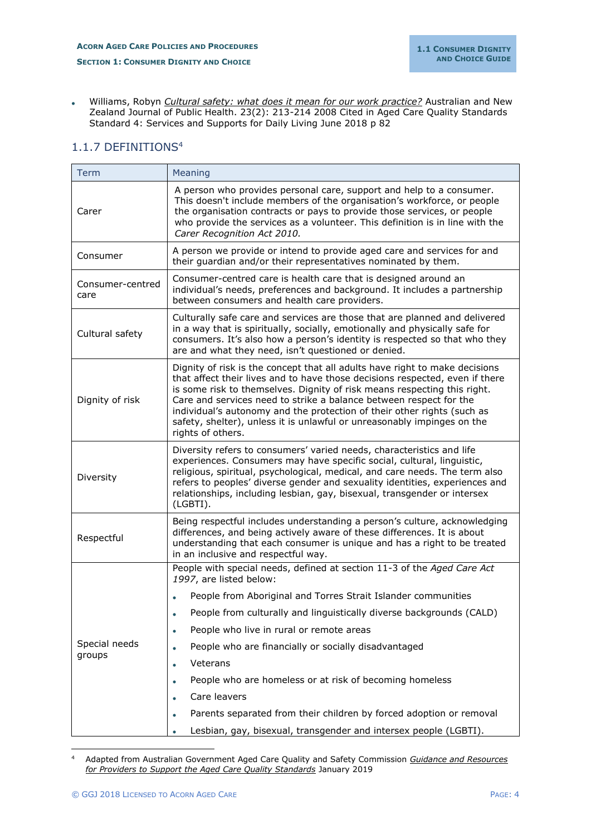• Williams, Robyn *Cultural safety: what does it mean for our work practice?* Australian and New Zealand Journal of Public Health. 23(2): 213-214 2008 Cited in Aged Care Quality Standards Standard 4: Services and Supports for Daily Living June 2018 p 82

## <span id="page-3-0"></span>1.1.7 DEFINITIONS<sup>4</sup>

<span id="page-3-2"></span><span id="page-3-1"></span>

| Term                     | Meaning                                                                                                                                                                                                                                                                                                                                                                                                                                                                                  |
|--------------------------|------------------------------------------------------------------------------------------------------------------------------------------------------------------------------------------------------------------------------------------------------------------------------------------------------------------------------------------------------------------------------------------------------------------------------------------------------------------------------------------|
| Carer                    | A person who provides personal care, support and help to a consumer.<br>This doesn't include members of the organisation's workforce, or people<br>the organisation contracts or pays to provide those services, or people<br>who provide the services as a volunteer. This definition is in line with the<br>Carer Recognition Act 2010.                                                                                                                                                |
| Consumer                 | A person we provide or intend to provide aged care and services for and<br>their guardian and/or their representatives nominated by them.                                                                                                                                                                                                                                                                                                                                                |
| Consumer-centred<br>care | Consumer-centred care is health care that is designed around an<br>individual's needs, preferences and background. It includes a partnership<br>between consumers and health care providers.                                                                                                                                                                                                                                                                                             |
| Cultural safety          | Culturally safe care and services are those that are planned and delivered<br>in a way that is spiritually, socially, emotionally and physically safe for<br>consumers. It's also how a person's identity is respected so that who they<br>are and what they need, isn't questioned or denied.                                                                                                                                                                                           |
| Dignity of risk          | Dignity of risk is the concept that all adults have right to make decisions<br>that affect their lives and to have those decisions respected, even if there<br>is some risk to themselves. Dignity of risk means respecting this right.<br>Care and services need to strike a balance between respect for the<br>individual's autonomy and the protection of their other rights (such as<br>safety, shelter), unless it is unlawful or unreasonably impinges on the<br>rights of others. |
| Diversity                | Diversity refers to consumers' varied needs, characteristics and life<br>experiences. Consumers may have specific social, cultural, linguistic,<br>religious, spiritual, psychological, medical, and care needs. The term also<br>refers to peoples' diverse gender and sexuality identities, experiences and<br>relationships, including lesbian, gay, bisexual, transgender or intersex<br>(LGBTI).                                                                                    |
| Respectful               | Being respectful includes understanding a person's culture, acknowledging<br>differences, and being actively aware of these differences. It is about<br>understanding that each consumer is unique and has a right to be treated<br>in an inclusive and respectful way.                                                                                                                                                                                                                  |
|                          | People with special needs, defined at section 11-3 of the Aged Care Act<br>1997, are listed below:                                                                                                                                                                                                                                                                                                                                                                                       |
|                          | People from Aboriginal and Torres Strait Islander communities                                                                                                                                                                                                                                                                                                                                                                                                                            |
|                          | People from culturally and linguistically diverse backgrounds (CALD)<br>$\bullet$                                                                                                                                                                                                                                                                                                                                                                                                        |
|                          | People who live in rural or remote areas                                                                                                                                                                                                                                                                                                                                                                                                                                                 |
| Special needs            | People who are financially or socially disadvantaged<br>$\bullet$                                                                                                                                                                                                                                                                                                                                                                                                                        |
| groups                   | Veterans<br>$\bullet$                                                                                                                                                                                                                                                                                                                                                                                                                                                                    |
|                          | People who are homeless or at risk of becoming homeless                                                                                                                                                                                                                                                                                                                                                                                                                                  |
|                          | Care leavers                                                                                                                                                                                                                                                                                                                                                                                                                                                                             |
|                          | Parents separated from their children by forced adoption or removal                                                                                                                                                                                                                                                                                                                                                                                                                      |
|                          | Lesbian, gay, bisexual, transgender and intersex people (LGBTI).                                                                                                                                                                                                                                                                                                                                                                                                                         |

<sup>4</sup> Adapted from Australian Government Aged Care Quality and Safety Commission *Guidance and Resources for Providers to Support the Aged Care Quality Standards* January 2019